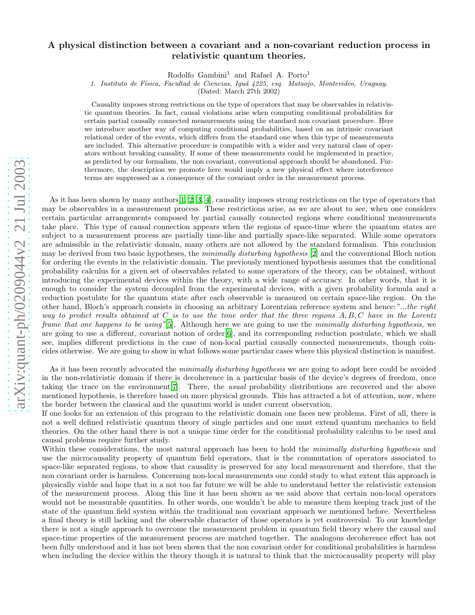## arXiv:quant-ph/0209044v2 21 Jul 2003 [arXiv:quant-ph/0209044v2 21 Jul 2003](http://arxiv.org/abs/quant-ph/0209044v2)

## A physical distinction between a covariant and a non-covariant reduction process in relativistic quantum theories.

Rodolfo Gambini<sup>1</sup> and Rafael A. Porto<sup>1</sup>

1. Instituto de F´ısica, Facultad de Ciencias, Igu´a 4225, esq. Mataojo, Montevideo, Uruguay.

(Dated: March 27th 2002)

Causality imposes strong restrictions on the type of operators that may be observables in relativistic quantum theories. In fact, causal violations arise when computing conditional probabilities for certain partial causally connected measurements using the standard non covariant procedure. Here we introduce another way of computing conditional probabilities, based on an intrinsic covariant relational order of the events, which differs from the standard one when this type of measurements are included. This alternative procedure is compatible with a wider and very natural class of operators without breaking causality. If some of these measurements could be implemented in practice, as predicted by our formalism, the non covariant, conventional approach should be abandoned. Furthermore, the description we promote here would imply a new physical effect where interference terms are suppressed as a consequence of the covariant order in the measurement process.

As it has been shown by many authors[\[1,](#page-5-0) [2,](#page-5-1) [3](#page-5-2), [4\]](#page-5-3), causality imposes strong restrictions on the type of operators that may be observables in a measurement process. These restrictions arise, as we are about to see, when one considers certain particular arrangements composed by partial causally connected regions where conditional measurements take place. This type of causal connection appears when the regions of space-time where the quantum states are subject to a measurement process are partially time-like and partially space-like separated. While some operators are admissible in the relativistic domain, many others are not allowed by the standard formalism. This conclusion may be derived from two basic hypotheses, the minimally disturbing hypothesis [\[2\]](#page-5-1) and the conventional Bloch notion for ordering the events in the relativistic domain. The previously mentioned hypothesis assumes that the conditional probability calculus for a given set of observables related to some operators of the theory, can be obtained, without introducing the experimental devices within the theory, with a wide range of accuracy. In other words, that it is enough to consider the system decoupled from the experimental devices, with a given probability formula and a reduction postulate for the quantum state after each observable is measured on certain space-like region. On the other hand, Bloch's approach consists in choosing an arbitrary Lorentzian reference system and hence:"...the right way to predict results obtained at C is to use the time order that the three regions  $A, B, C$  have in the Lorentz frame that one happens to be using"[\[5](#page-5-4)]. Although here we are going to use the minimally disturbing hypothesis, we are going to use a different, covariant notion of order[\[6\]](#page-5-5), and its corresponding reduction postulate, which we shall see, implies different predictions in the case of non-local partial causally connected measurements, though coincides otherwise. We are going to show in what follows some particular cases where this physical distinction is manifest.

As it has been recently advocated the minimally disturbing hypothesis we are going to adopt here could be avoided in the non-relativistic domain if there is decoherence in a particular basis of the device's degrees of freedom, once taking the trace on the environment[\[7\]](#page-5-6). There, the usual probability distributions are recovered and the above mentioned hypothesis, is therefore based on more physical grounds. This has attracted a lot of attention, now, where the border between the classical and the quantum world is under current observation.

If one looks for an extension of this program to the relativistic domain one faces new problems. First of all, there is not a well defined relativistic quantum theory of single particles and one must extend quantum mechanics to field theories. On the other hand there is not a unique time order for the conditional probability calculus to be used and causal problems require further study.

Within these considerations, the most natural approach has been to hold the minimally disturbing hypothesis and use the microcausality property of quantum field operators, that is the commutation of operators associated to space-like separated regions, to show that causality is preserved for any local measurement and therefore, that the non covariant order is harmless. Concerning non-local measurements one could study to what extent this approach is physically viable and hope that in a not too far future we will be able to understand better the relativistic extension of the measurement process. Along this line it has been shown as we said above that certain non-local operators would not be measurable quantities. In other words, one wouldn't be able to measure them keeping track just of the state of the quantum field system within the traditional non covariant approach we mentioned before. Nevertheless a final theory is still lacking and the observable character of those operators is yet controversial. To our knowledge there is not a single approach to overcome the measurement problem in quantum field theory where the causal and space-time properties of the measurement process are matched together. The analogous decoherence effect has not been fully understood and it has not been shown that the non covariant order for conditional probabilities is harmless when including the device within the theory though it is natural to think that the microcausality property will play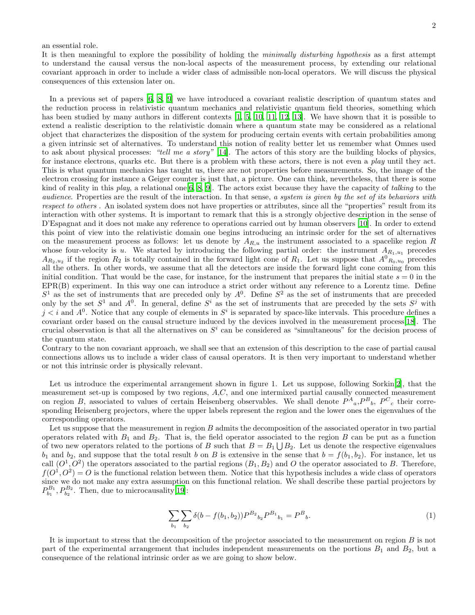## an essential role.

It is then meaningful to explore the possibility of holding the minimally disturbing hypothesis as a first attempt to understand the causal versus the non-local aspects of the measurement process, by extending our relational covariant approach in order to include a wider class of admissible non-local operators. We will discuss the physical consequences of this extension later on.

In a previous set of papers [\[6,](#page-5-5) [8,](#page-5-7) [9](#page-5-8)] we have introduced a covariant realistic description of quantum states and the reduction process in relativistic quantum mechanics and relativistic quantum field theories, something which has been studied by many authors in different contexts [\[1](#page-5-0), [5,](#page-5-4) [10,](#page-5-9) [11](#page-5-10), [12,](#page-5-11) [13\]](#page-5-12). We have shown that it is possible to extend a realistic description to the relativistic domain where a quantum state may be considered as a relational object that characterizes the disposition of the system for producing certain events with certain probabilities among a given intrinsic set of alternatives. To understand this notion of reality better let us remember what Omnes used to ask about physical processes: "tell me a story" [\[14\]](#page-5-13). The actors of this story are the building blocks of physics, for instance electrons, quarks etc. But there is a problem with these actors, there is not even a play until they act. This is what quantum mechanics has taught us, there are not properties before measurements. So, the image of the electron crossing for instance a Geiger counter is just that, a picture. One can think, nevertheless, that there is some kind of reality in this play, a relational one  $[6, 8, 9]$  $[6, 8, 9]$  $[6, 8, 9]$ . The actors exist because they have the capacity of talking to the audience. Properties are the result of the interaction. In that sense, a system is given by the set of its behaviors with respect to others . An isolated system does not have properties or attributes, since all the "properties" result from its interaction with other systems. It is important to remark that this is a strongly objective description in the sense of D'Espagnat and it does not make any reference to operations carried out by human observers [\[10\]](#page-5-9). In order to extend this point of view into the relativistic domain one begins introducing an intrinsic order for the set of alternatives on the measurement process as follows: let us denote by  $A_{R,u}$  the instrument associated to a spacelike region R whose four-velocity is u. We started by introducing the following partial order: the instrument  $A_{R_1,u_1}$  precedes  $A_{R_2,u_2}$  if the region  $R_2$  is totally contained in the forward light cone of  $R_1$ . Let us suppose that  $A^0_{R_0,u_0}$  precedes all the others. In other words, we assume that all the detectors are inside the forward light cone coming from this initial condition. That would be the case, for instance, for the instrument that prepares the initial state  $s = 0$  in the EPR(B) experiment. In this way one can introduce a strict order without any reference to a Lorentz time. Define  $S<sup>1</sup>$  as the set of instruments that are preceded only by  $A<sup>0</sup>$ . Define  $S<sup>2</sup>$  as the set of instruments that are preceded only by the set  $S^1$  and  $A^0$ . In general, define  $S^i$  as the set of instruments that are preceded by the sets  $S^j$  with  $j < i$  and  $A^0$ . Notice that any couple of elements in  $S^i$  is separated by space-like intervals. This procedure defines a covariant order based on the causal structure induced by the devices involved in the measurement process[\[18](#page-5-14)]. The crucial observation is that all the alternatives on  $S^i$  can be considered as "simultaneous" for the decision process of the quantum state.

Contrary to the non covariant approach, we shall see that an extension of this description to the case of partial causal connections allows us to include a wider class of causal operators. It is then very important to understand whether or not this intrinsic order is physically relevant.

Let us introduce the experimental arrangement shown in figure 1. Let us suppose, following Sorkin[\[2](#page-5-1)], that the measurement set-up is composed by two regions, A,C, and one intermixed partial causally connected measurement on region B, associated to values of certain Heisenberg observables. We shall denote  $P^A{}_a, P^B{}_b, P^C{}_c$  their corresponding Heisenberg projectors, where the upper labels represent the region and the lower ones the eigenvalues of the corresponding operators.

Let us suppose that the measurement in region B admits the decomposition of the associated operator in two partial operators related with  $B_1$  and  $B_2$ . That is, the field operator associated to the region B can be put as a function of two new operators related to the portions of B such that  $B = B_1 \bigcup B_2$ . Let us denote the respective eigenvalues  $b_1$  and  $b_2$ , and suppose that the total result b on B is extensive in the sense that  $b = f(b_1, b_2)$ . For instance, let us call  $(O<sup>1</sup>, O<sup>2</sup>)$  the operators associated to the partial regions  $(B<sub>1</sub>, B<sub>2</sub>)$  and O the operator associated to B. Therefore,  $f(O^1, O^2) = O$  is the functional relation between them. Notice that this hypothesis includes a wide class of operators since we do not make any extra assumption on this functional relation. We shall describe these partial projectors by  $P_{b_1}^{B_1}, P_{b_2}^{B_2}$ . Then, due to microcausality[\[19\]](#page-6-0):

$$
\sum_{b_1} \sum_{b_2} \delta(b - f(b_1, b_2)) P^{B_2}{}_{b_2} P^{B_1}{}_{b_1} = P^B{}_{b}.
$$
\n<sup>(1)</sup>

It is important to stress that the decomposition of the projector associated to the measurement on region B is not part of the experimental arrangement that includes independent measurements on the portions  $B_1$  and  $B_2$ , but a consequence of the relational intrinsic order as we are going to show below.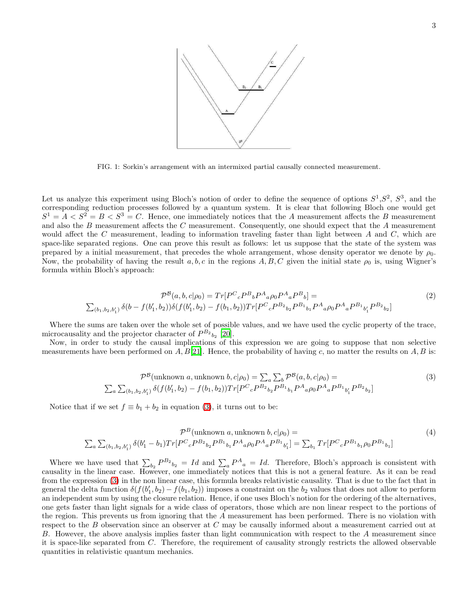

FIG. 1: Sorkin's arrangement with an intermixed partial causally connected measurement.

Let us analyze this experiment using Bloch's notion of order to define the sequence of options  $S^1, S^2, S^3$ , and the corresponding reduction processes followed by a quantum system. It is clear that following Bloch one would get  $S^1 = A < S^2 = B < S^3 = C$ . Hence, one immediately notices that the A measurement affects the B measurement and also the B measurement affects the C measurement. Consequently, one should expect that the A measurement would affect the  $C$  measurement, leading to information traveling faster than light between  $A$  and  $C$ , which are space-like separated regions. One can prove this result as follows: let us suppose that the state of the system was prepared by a initial measurement, that precedes the whole arrangement, whose density operator we denote by  $\rho_0$ . Now, the probability of having the result a, b, c in the regions A, B, C given the initial state  $\rho_0$  is, using Wigner's formula within Bloch's approach:

$$
\mathcal{P}^{\mathcal{B}}(a,b,c|\rho_0) = Tr[P^C{}_c P^B{}_b P^A{}_a \rho_0 P^A{}_a P^B{}_b] =
$$
  

$$
\sum_{(b_1,b_2,b'_1)} \delta(b - f(b'_1,b_2)) \delta(f(b'_1,b_2) - f(b_1,b_2)) Tr[P^C{}_c P^{B_2}{}_{b_2} P^{B_1}{}_{b_1} P^A{}_a \rho_0 P^A{}_a P^{B_1}{}_{b'_1} P^{B_2}{}_{b_2}]
$$
 (2)

<span id="page-2-1"></span>Where the sums are taken over the whole set of possible values, and we have used the cyclic property of the trace, microcausality and the projector character of  $P^{B_2}_{b_2}$  [\[20\]](#page-6-1).

Now, in order to study the causal implications of this expression we are going to suppose that non selective measurements have been performed on  $A, B[21]$  $A, B[21]$  $A, B[21]$ . Hence, the probability of having c, no matter the results on  $A, B$  is:

$$
\mathcal{P}^{\mathcal{B}}(\text{unknown } a, \text{unknown } b, c | \rho_0) = \sum_{a} \sum_{b} \mathcal{P}^{\mathcal{B}}(a, b, c | \rho_0) =
$$
  

$$
\sum_{a} \sum_{(b_1, b_2, b'_1)} \delta(f(b'_1, b_2) - f(b_1, b_2)) Tr[P^C{}_c P^{B_2}{}_{b_2} P^{B_1}{}_{b_1} P^{A}{}_{a} \rho_0 P^{A}{}_{a} P^{B_1}{}_{b'_1} P^{B_2}{}_{b_2}]
$$
\n(3)

<span id="page-2-0"></span>Notice that if we set  $f \equiv b_1 + b_2$  in equation [\(3\)](#page-2-0), it turns out to be:

$$
\mathcal{P}^{B}(\text{unknown } a, \text{unknown } b, c | \rho_0) =
$$
\n
$$
\sum_{a} \sum_{(b_1, b_2, b'_1)} \delta(b'_1 - b_1) Tr[P^C{}_c P^{B_2}{}_{b_2} P^{B_1}{}_{b_1} P^A{}_{a} \rho_0 P^A{}_{a} P^{B_1}{}_{b'_1}] = \sum_{b_1} Tr[P^C{}_c P^{B_1}{}_{b_1} \rho_0 P^{B_1}{}_{b_1}]
$$
\n(4)

Where we have used that  $\sum_{b_2} P^{B_2}{}_{b_2} = Id$  and  $\sum_a P^A{}_a = Id$ . Therefore, Bloch's approach is consistent with causality in the linear case. However, one immediately notices that this is not a general feature. As it can be read from the expression [\(3\)](#page-2-0) in the non linear case, this formula breaks relativistic causality. That is due to the fact that in general the delta function  $\delta(f(b'_1, b_2) - f(b_1, b_2))$  imposes a constraint on the  $b_2$  values that does not allow to perform an independent sum by using the closure relation. Hence, if one uses Bloch's notion for the ordering of the alternatives, one gets faster than light signals for a wide class of operators, those which are non linear respect to the portions of the region. This prevents us from ignoring that the A measurement has been performed. There is no violation with respect to the B observation since an observer at C may be causally informed about a measurement carried out at B. However, the above analysis implies faster than light communication with respect to the A measurement since it is space-like separated from C. Therefore, the requirement of causality strongly restricts the allowed observable quantities in relativistic quantum mechanics.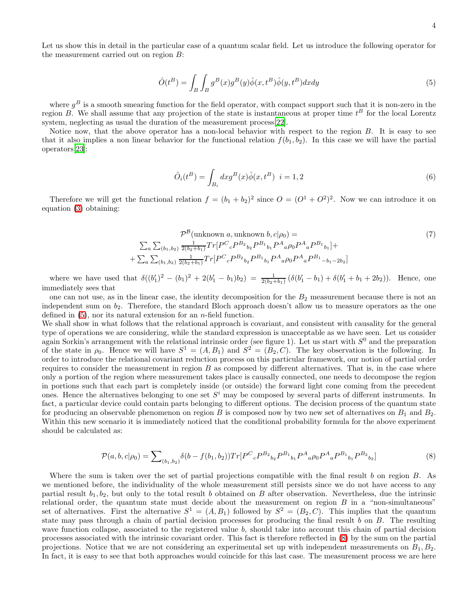Let us show this in detail in the particular case of a quantum scalar field. Let us introduce the following operator for the measurement carried out on region B:

<span id="page-3-0"></span>
$$
\hat{O}(t^B) = \int_B \int_B g^B(x)g^B(y)\hat{\phi}(x, t^B)\hat{\phi}(y, t^B) dxdy \tag{5}
$$

where  $g^B$  is a smooth smearing function for the field operator, with compact support such that it is non-zero in the region B. We shall assume that any projection of the state is instantaneous at proper time  $t^B$  for the local Lorentz system, neglecting as usual the duration of the measurement process[\[22](#page-6-3)].

Notice now, that the above operator has a non-local behavior with respect to the region B. It is easy to see that it also implies a non linear behavior for the functional relation  $f(b_1, b_2)$ . In this case we will have the partial operators[\[23\]](#page-6-4):

$$
\hat{O}_i(t^B) = \int_{B_i} dx g^B(x)\hat{\phi}(x, t^B) \ \ i = 1, 2
$$
\n(6)

Therefore we will get the functional relation  $f = (b_1 + b_2)^2$  since  $O = (O^1 + O^2)^2$ . Now we can introduce it on equation [\(3\)](#page-2-0) obtaining:

$$
\mathcal{P}^{\mathcal{B}}(\text{unknown } a, \text{unknown } b, c | \rho_0) =
$$
\n
$$
\sum_{a} \sum_{(b_1, b_2)} \frac{1}{2(b_2 + b_1)} Tr[P^C{}_c P^{B_2}{}_{b_2} P^{B_1}{}_{b_1} P^{A}{}_{a} \rho_0 P^{A}{}_{a} P^{B_1}{}_{b_1}] +
$$
\n
$$
+ \sum_{a} \sum_{(b_1, b_2)} \frac{1}{2(b_2 + b_1)} Tr[P^C{}_c P^{B_2}{}_{b_2} P^{B_1}{}_{b_1} P^{A}{}_{a} \rho_0 P^{A}{}_{a} P^{B_1}{}_{-b_1 - 2b_2}]
$$
\n
$$
(7)
$$

where we have used that  $\delta((b'_1)^2 - (b_1)^2 + 2(b'_1 - b_1)b_2) = \frac{1}{2(b_2 + b_1)}(\delta(b'_1 - b_1) + \delta(b'_1 + b_1 + 2b_2)).$  Hence, one immediately sees that

one can not use, as in the linear case, the identity decomposition for the  $B_2$  measurement because there is not an independent sum on  $b_2$ . Therefore, the standard Bloch approach doesn't allow us to measure operators as the one defined in  $(5)$ , nor its natural extension for an *n*-field function.

We shall show in what follows that the relational approach is covariant, and consistent with causality for the general type of operations we are considering, while the standard expression is unacceptable as we have seen. Let us consider again Sorkin's arrangement with the relational intrinsic order (see figure 1). Let us start with  $S^0$  and the preparation of the state in  $\rho_0$ . Hence we will have  $S^1 = (A, B_1)$  and  $S^2 = (B_2, C)$ . The key observation is the following. In order to introduce the relational covariant reduction process on this particular framework, our notion of partial order requires to consider the measurement in region  $B$  as composed by different alternatives. That is, in the case where only a portion of the region where measurement takes place is causally connected, one needs to decompose the region in portions such that each part is completely inside (or outside) the forward light cone coming from the precedent ones. Hence the alternatives belonging to one set  $S^i$  may be composed by several parts of different instruments. In fact, a particular device could contain parts belonging to different options. The decision process of the quantum state for producing an observable phenomenon on region B is composed now by two new set of alternatives on  $B_1$  and  $B_2$ . Within this new scenario it is immediately noticed that the conditional probability formula for the above experiment should be calculated as:

$$
\mathcal{P}(a,b,c|\rho_0) = \sum_{(b_1,b_2)} \delta(b - f(b_1,b_2)) Tr[P^C{}_c P^{B_2}{}_{b_2} P^{B_1}{}_{b_1} P^A{}_{a}\rho_0 P^A{}_{a} P^{B_1}{}_{b_1} P^{B_2}{}_{b_2}]\tag{8}
$$

<span id="page-3-1"></span>Where the sum is taken over the set of partial projections compatible with the final result b on region  $B$ . As we mentioned before, the individuality of the whole measurement still persists since we do not have access to any partial result  $b_1, b_2$ , but only to the total result b obtained on B after observation. Nevertheless, due the intrinsic relational order, the quantum state must decide about the measurement on region  $B$  in a "non-simultaneous" set of alternatives. First the alternative  $S^1 = (A, B_1)$  followed by  $S^2 = (B_2, C)$ . This implies that the quantum state may pass through a chain of partial decision processes for producing the final result  $b$  on  $B$ . The resulting wave function collapse, associated to the registered value b, should take into account this chain of partial decision processes associated with the intrinsic covariant order. This fact is therefore reflected in [\(8\)](#page-3-1) by the sum on the partial projections. Notice that we are not considering an experimental set up with independent measurements on  $B_1, B_2$ . In fact, it is easy to see that both approaches would coincide for this last case. The measurement process we are here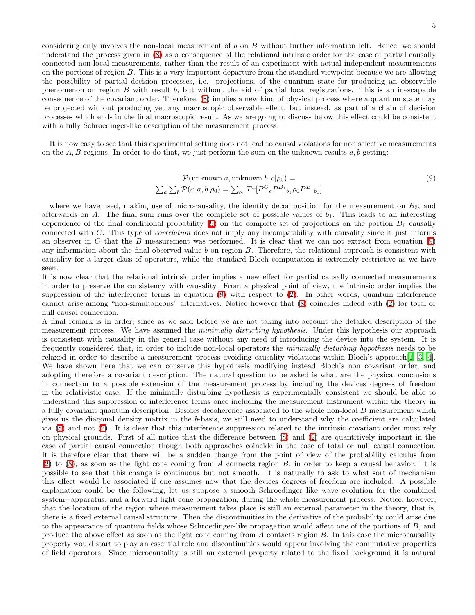considering only involves the non-local measurement of b on B without further information left. Hence, we should understand the process given in [\(8\)](#page-3-1) as a consequence of the relational intrinsic order for the case of partial causally connected non-local measurements, rather than the result of an experiment with actual independent measurements on the portions of region B. This is a very important departure from the standard viewpoint because we are allowing the possibility of partial decision processes, i.e. projections, of the quantum state for producing an observable phenomenon on region  $B$  with result  $b$ , but without the aid of partial local registrations. This is an inescapable consequence of the covariant order. Therefore, [\(8\)](#page-3-1) implies a new kind of physical process where a quantum state may be projected without producing yet any macroscopic observable effect, but instead, as part of a chain of decision processes which ends in the final macroscopic result. As we are going to discuss below this effect could be consistent with a fully Schroedinger-like description of the measurement process.

It is now easy to see that this experimental setting does not lead to causal violations for non selective measurements on the  $A, B$  regions. In order to do that, we just perform the sum on the unknown results  $a, b$  getting:

<span id="page-4-0"></span>
$$
\mathcal{P}(\text{unknown } a, \text{unknown } b, c | \rho_0) =
$$
  

$$
\sum_{a} \sum_{b} \mathcal{P}(c, a, b | \rho_0) = \sum_{b_1} Tr[P^C{}_c P^{B_1}{}_{b_1} \rho_0 P^{B_1}{}_{b_1}]
$$
\n(9)

where we have used, making use of microcausality, the identity decomposition for the measurement on  $B_2$ , and afterwards on A. The final sum runs over the complete set of possible values of  $b_1$ . This leads to an interesting dependence of the final conditional probability [\(9\)](#page-4-0) on the complete set of projections on the portion  $B_1$  causally connected with C. This type of correlation does not imply any incompatibility with causality since it just informs an observer in C that the B measurement was performed. It is clear that we can not extract from equation  $(9)$ any information about the final observed value  $b$  on region  $B$ . Therefore, the relational approach is consistent with causality for a larger class of operators, while the standard Bloch computation is extremely restrictive as we have seen.

It is now clear that the relational intrinsic order implies a new effect for partial causally connected measurements in order to preserve the consistency with causality. From a physical point of view, the intrinsic order implies the suppression of the interference terms in equation [\(8\)](#page-3-1) with respect to [\(2\)](#page-2-1). In other words, quantum interference cannot arise among "non-simultaneous" alternatives. Notice however that [\(8\)](#page-3-1) coincides indeed with [\(2\)](#page-2-1) for total or null causal connection.

A final remark is in order, since as we said before we are not taking into account the detailed description of the measurement process. We have assumed the *minimally disturbing hypothesis*. Under this hypothesis our approach is consistent with causality in the general case without any need of introducing the device into the system. It is frequently considered that, in order to include non-local operators the minimally disturbing hypothesis needs to be relaxed in order to describe a measurement process avoiding causality violations within Bloch's approach[\[1](#page-5-0), [3](#page-5-2), [4\]](#page-5-3). We have shown here that we can conserve this hypothesis modifying instead Bloch's non covariant order, and adopting therefore a covariant description. The natural question to be asked is what are the physical conclusions in connection to a possible extension of the measurement process by including the devices degrees of freedom in the relativistic case. If the minimally disturbing hypothesis is experimentally consistent we should be able to understand this suppression of interference terms once including the measurement instrument within the theory in a fully covariant quantum description. Besides decoherence associated to the whole non-local B measurement which gives us the diagonal density matrix in the b-basis, we still need to understand why the coefficient are calculated via [\(8\)](#page-3-1) and not [\(2\)](#page-2-1). It is clear that this interference suppression related to the intrinsic covariant order must rely on physical grounds. First of all notice that the difference between [\(8\)](#page-3-1) and [\(2\)](#page-2-1) are quantitively important in the case of partial causal connection though both approaches coincide in the case of total or null causal connection. It is therefore clear that there will be a sudden change from the point of view of the probability calculus from  $(2)$  to  $(8)$ , as soon as the light cone coming from A connects region B, in order to keep a causal behavior. It is possible to see that this change is continuous but not smooth. It is naturally to ask to what sort of mechanism this effect would be associated if one assumes now that the devices degrees of freedom are included. A possible explanation could be the following, let us suppose a smooth Schroedinger like wave evolution for the combined system+apparatus, and a forward light cone propagation, during the whole measurement process. Notice, however, that the location of the region where measurement takes place is still an external parameter in the theory, that is, there is a fixed external causal structure. Then the discontinuities in the derivative of the probability could arise due to the appearance of quantum fields whose Schroedinger-like propagation would affect one of the portions of B, and produce the above effect as soon as the light cone coming from A contacts region B. In this case the microcausality property would start to play an essential role and discontinuities would appear involving the commutative properties of field operators. Since microcausality is still an external property related to the fixed background it is natural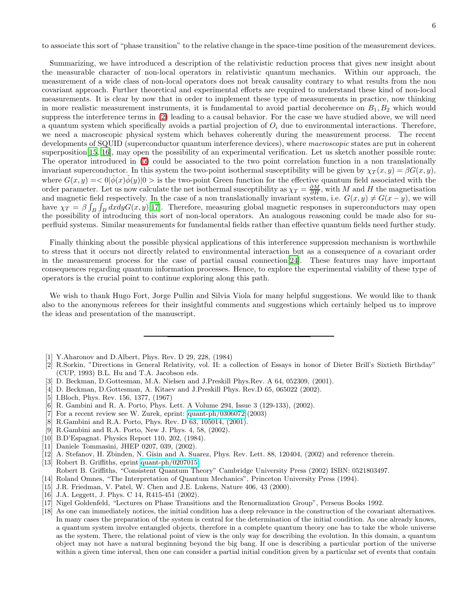to associate this sort of "phase transition" to the relative change in the space-time position of the measurement devices.

Summarizing, we have introduced a description of the relativistic reduction process that gives new insight about the measurable character of non-local operators in relativistic quantum mechanics. Within our approach, the measurement of a wide class of non-local operators does not break causality contrary to what results from the non covariant approach. Further theoretical and experimental efforts are required to understand these kind of non-local measurements. It is clear by now that in order to implement these type of measurements in practice, now thinking in more realistic measurement instruments, it is fundamental to avoid partial decoherence on  $B_1, B_2$  which would suppress the interference terms in [\(2\)](#page-2-1) leading to a causal behavior. For the case we have studied above, we will need a quantum system which specifically avoids a partial projection of  $O_i$  due to environmental interactions. Therefore, we need a macroscopic physical system which behaves coherently during the measurement process. The recent developments of SQUID (superconductor quantum interference devices), where *macroscopic* states are put in coherent superposition<sup>[\[15](#page-5-15), [16](#page-5-16)]</sup>, may open the possibility of an experimental verification. Let us sketch another possible route: The operator introduced in [\(5\)](#page-3-0) could be associated to the two point correlation function in a non translationally invariant superconductor. In this system the two-point isothermal susceptibility will be given by  $\chi_T(x, y) = \beta G(x, y)$ , where  $G(x, y) = \langle 0 | \hat{\phi}(x) \hat{\phi}(y) | 0 \rangle$  is the two-point Green function for the effective quantum field associated with the order parameter. Let us now calculate the net isothermal susceptibility as  $\chi_T = \frac{\partial M}{\partial H}$ , with M and H the magnetisation and magnetic field respectively. In the case of a non translationally invariant system, i.e.  $G(x, y) \neq G(x - y)$ , we will have  $\chi_T = \beta \int_B \int_B dx dy G(x, y)$ [\[17\]](#page-5-17). Therefore, measuring global magnetic responses in superconductors may open the possibility of introducing this sort of non-local operators. An analogous reasoning could be made also for superfluid systems. Similar measurements for fundamental fields rather than effective quantum fields need further study.

Finally thinking about the possible physical applications of this interference suppression mechanism is worthwhile to stress that it occurs not directly related to environmental interaction but as a consequence of a covariant order in the measurement process for the case of partial causal connection[\[24\]](#page-6-5). These features may have important consequences regarding quantum information processes. Hence, to explore the experimental viability of these type of operators is the crucial point to continue exploring along this path.

We wish to thank Hugo Fort, Jorge Pullin and Silvia Viola for many helpful suggestions. We would like to thank also to the anonymous referees for their insightful comments and suggestions which certainly helped us to improve the ideas and presentation of the manuscript.

- <span id="page-5-0"></span>[1] Y.Aharonov and D.Albert, Phys. Rev. D 29, 228, (1984)
- <span id="page-5-1"></span>[2] R.Sorkin, "Directions in General Relativity, vol. II: a collection of Essays in honor of Dieter Brill's Sixtieth Birthday" (CUP, 1993) B.L. Hu and T.A. Jacobson eds.
- <span id="page-5-2"></span>[3] D. Beckman, D.Gottesman, M.A. Nielsen and J.Preskill Phys.Rev. A 64, 052309, (2001).
- [4] D. Beckman, D.Gottesman, A. Kitaev and J.Preskill Phys. Rev.D 65, 065022 (2002).
- <span id="page-5-4"></span><span id="page-5-3"></span>[5] I.Bloch, Phys. Rev. 156, 1377, (1967)
- <span id="page-5-5"></span>[6] R. Gambini and R. A. Porto, Phys. Lett. A Volume 294, Issue 3 (129-133), (2002).
- <span id="page-5-6"></span>[7] For a recent review see W. Zurek, eprint: [quant-ph/0306072](http://arxiv.org/abs/quant-ph/0306072) (2003)
- [8] R.Gambini and R.A. Porto, Phys. Rev. D 63, 105014, (2001).
- <span id="page-5-7"></span>[9] R.Gambini and R.A. Porto, New J. Phys. 4, 58, (2002).
- <span id="page-5-9"></span><span id="page-5-8"></span>[10] B.D'Espagnat. Physics Report 110, 202, (1984).
- <span id="page-5-10"></span>[11] Daniele Tommasini, JHEP 0207, 039, (2002).
- [12] A. Stefanov, H. Zbinden, N. Gisin and A. Suarez, Phys. Rev. Lett. 88, 120404, (2002) and reference therein.
- <span id="page-5-12"></span><span id="page-5-11"></span>[13] Robert B. Griffiths, eprint [quant-ph/0207015](http://arxiv.org/abs/quant-ph/0207015)
- Robert B. Griffiths, "Consistent Quantum Theory" Cambridge University Press (2002) ISBN: 0521803497.
- <span id="page-5-13"></span>[14] Roland Omnes, "The Interpretation of Quantum Mechanics", Princeton University Press (1994).
- <span id="page-5-15"></span>[15] J.R. Friedman, V. Patel, W. Chen and J.E. Lukens, Nature 406, 43 (2000).
- <span id="page-5-16"></span>[16] J.A. Leggett, J. Phys. C 14, R415-451 (2002).
- <span id="page-5-17"></span>[17] Nigel Goldenfeld, "Lectures on Phase Transitions and the Renormalization Group", Perseus Books 1992.
- <span id="page-5-14"></span>[18] As one can immediately notices, the initial condition has a deep relevance in the construction of the covariant alternatives. In many cases the preparation of the system is central for the determination of the initial condition. As one already knows, a quantum system involve entangled objects, therefore in a complete quantum theory one has to take the whole universe as the system. There, the relational point of view is the only way for describing the evolution. In this domain, a quantum object may not have a natural beginning beyond the big bang. If one is describing a particular portion of the universe within a given time interval, then one can consider a partial initial condition given by a particular set of events that contain